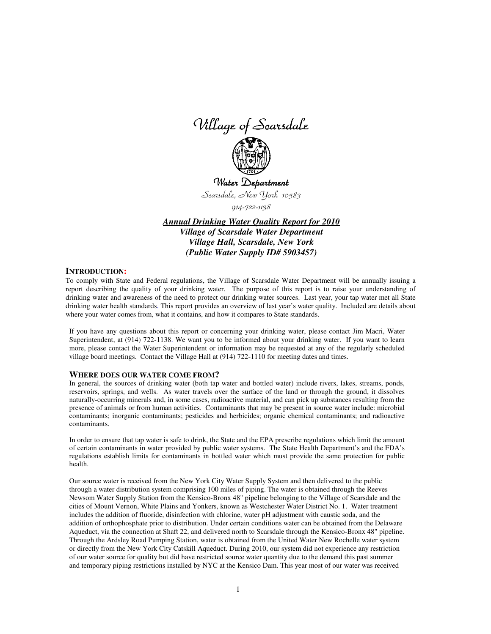Village of Scarsdale



Water Department Scarsdale, New York 10583

914-722-1138

*Annual Drinking Water Quality Report for 2010 Village of Scarsdale Water Department Village Hall, Scarsdale, New York (Public Water Supply ID# 5903457)*

## **INTRODUCTION:**

To comply with State and Federal regulations, the Village of Scarsdale Water Department will be annually issuing a report describing the quality of your drinking water. The purpose of this report is to raise your understanding of drinking water and awareness of the need to protect our drinking water sources. Last year, your tap water met all State drinking water health standards. This report provides an overview of last year's water quality. Included are details about where your water comes from, what it contains, and how it compares to State standards.

If you have any questions about this report or concerning your drinking water, please contact Jim Macri, Water Superintendent, at (914) 722-1138. We want you to be informed about your drinking water. If you want to learn more, please contact the Water Superintendent or information may be requested at any of the regularly scheduled village board meetings. Contact the Village Hall at (914) 722-1110 for meeting dates and times.

### **WHERE DOES OUR WATER COME FROM?**

In general, the sources of drinking water (both tap water and bottled water) include rivers, lakes, streams, ponds, reservoirs, springs, and wells. As water travels over the surface of the land or through the ground, it dissolves naturally-occurring minerals and, in some cases, radioactive material, and can pick up substances resulting from the presence of animals or from human activities. Contaminants that may be present in source water include: microbial contaminants; inorganic contaminants; pesticides and herbicides; organic chemical contaminants; and radioactive contaminants.

In order to ensure that tap water is safe to drink, the State and the EPA prescribe regulations which limit the amount of certain contaminants in water provided by public water systems. The State Health Department's and the FDA's regulations establish limits for contaminants in bottled water which must provide the same protection for public health.

Our source water is received from the New York City Water Supply System and then delivered to the public through a water distribution system comprising 100 miles of piping. The water is obtained through the Reeves Newsom Water Supply Station from the Kensico-Bronx 48" pipeline belonging to the Village of Scarsdale and the cities of Mount Vernon, White Plains and Yonkers, known as Westchester Water District No. 1. Water treatment includes the addition of fluoride, disinfection with chlorine, water pH adjustment with caustic soda, and the addition of orthophosphate prior to distribution. Under certain conditions water can be obtained from the Delaware Aqueduct, via the connection at Shaft 22, and delivered north to Scarsdale through the Kensico-Bronx 48" pipeline. Through the Ardsley Road Pumping Station, water is obtained from the United Water New Rochelle water system or directly from the New York City Catskill Aqueduct. During 2010, our system did not experience any restriction of our water source for quality but did have restricted source water quantity due to the demand this past summer and temporary piping restrictions installed by NYC at the Kensico Dam. This year most of our water was received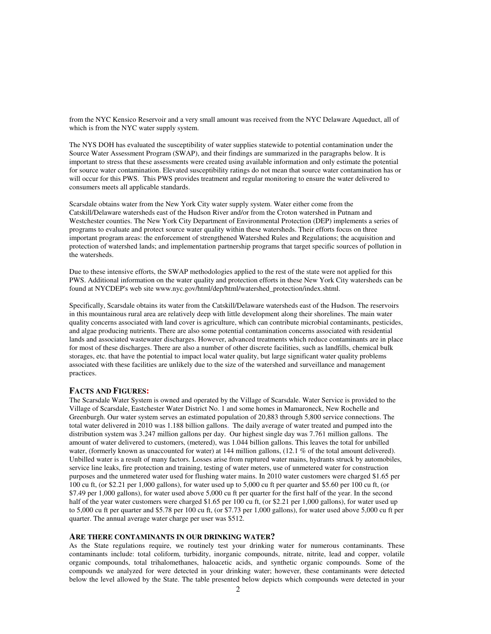from the NYC Kensico Reservoir and a very small amount was received from the NYC Delaware Aqueduct, all of which is from the NYC water supply system.

The NYS DOH has evaluated the susceptibility of water supplies statewide to potential contamination under the Source Water Assessment Program (SWAP), and their findings are summarized in the paragraphs below. It is important to stress that these assessments were created using available information and only estimate the potential for source water contamination. Elevated susceptibility ratings do not mean that source water contamination has or will occur for this PWS. This PWS provides treatment and regular monitoring to ensure the water delivered to consumers meets all applicable standards.

Scarsdale obtains water from the New York City water supply system. Water either come from the Catskill/Delaware watersheds east of the Hudson River and/or from the Croton watershed in Putnam and Westchester counties. The New York City Department of Environmental Protection (DEP) implements a series of programs to evaluate and protect source water quality within these watersheds. Their efforts focus on three important program areas: the enforcement of strengthened Watershed Rules and Regulations; the acquisition and protection of watershed lands; and implementation partnership programs that target specific sources of pollution in the watersheds.

Due to these intensive efforts, the SWAP methodologies applied to the rest of the state were not applied for this PWS. Additional information on the water quality and protection efforts in these New York City watersheds can be found at NYCDEP's web site www.nyc.gov/html/dep/html/watershed\_protection/index.shtml.

Specifically, Scarsdale obtains its water from the Catskill/Delaware watersheds east of the Hudson. The reservoirs in this mountainous rural area are relatively deep with little development along their shorelines. The main water quality concerns associated with land cover is agriculture, which can contribute microbial contaminants, pesticides, and algae producing nutrients. There are also some potential contamination concerns associated with residential lands and associated wastewater discharges. However, advanced treatments which reduce contaminants are in place for most of these discharges. There are also a number of other discrete facilities, such as landfills, chemical bulk storages, etc. that have the potential to impact local water quality, but large significant water quality problems associated with these facilities are unlikely due to the size of the watershed and surveillance and management practices.

# **FACTS AND FIGURES:**

The Scarsdale Water System is owned and operated by the Village of Scarsdale. Water Service is provided to the Village of Scarsdale, Eastchester Water District No. 1 and some homes in Mamaroneck, New Rochelle and Greenburgh. Our water system serves an estimated population of 20,883 through 5,800 service connections. The total water delivered in 2010 was 1.188 billion gallons. The daily average of water treated and pumped into the distribution system was 3.247 million gallons per day. Our highest single day was 7.761 million gallons. The amount of water delivered to customers, (metered), was 1.044 billion gallons. This leaves the total for unbilled water, (formerly known as unaccounted for water) at 144 million gallons, (12.1 % of the total amount delivered). Unbilled water is a result of many factors. Losses arise from ruptured water mains, hydrants struck by automobiles, service line leaks, fire protection and training, testing of water meters, use of unmetered water for construction purposes and the unmetered water used for flushing water mains. In 2010 water customers were charged \$1.65 per 100 cu ft, (or \$2.21 per 1,000 gallons), for water used up to 5,000 cu ft per quarter and \$5.60 per 100 cu ft, (or \$7.49 per 1,000 gallons), for water used above 5,000 cu ft per quarter for the first half of the year. In the second half of the year water customers were charged \$1.65 per 100 cu ft, (or \$2.21 per 1,000 gallons), for water used up to 5,000 cu ft per quarter and \$5.78 per 100 cu ft, (or \$7.73 per 1,000 gallons), for water used above 5,000 cu ft per quarter. The annual average water charge per user was \$512.

### **ARE THERE CONTAMINANTS IN OUR DRINKING WATER?**

As the State regulations require, we routinely test your drinking water for numerous contaminants. These contaminants include: total coliform, turbidity, inorganic compounds, nitrate, nitrite, lead and copper, volatile organic compounds, total trihalomethanes, haloacetic acids, and synthetic organic compounds. Some of the compounds we analyzed for were detected in your drinking water; however, these contaminants were detected below the level allowed by the State. The table presented below depicts which compounds were detected in your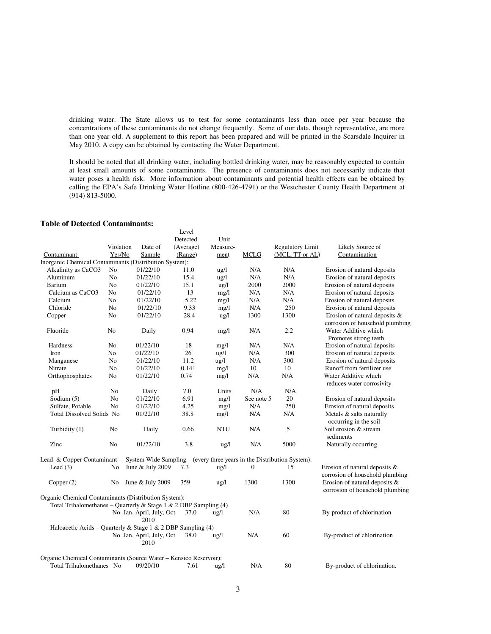drinking water. The State allows us to test for some contaminants less than once per year because the concentrations of these contaminants do not change frequently. Some of our data, though representative, are more than one year old. A supplement to this report has been prepared and will be printed in the Scarsdale Inquirer in May 2010. A copy can be obtained by contacting the Water Department.

It should be noted that all drinking water, including bottled drinking water, may be reasonably expected to contain at least small amounts of some contaminants. The presence of contaminants does not necessarily indicate that water poses a health risk. More information about contaminants and potential health effects can be obtained by calling the EPA's Safe Drinking Water Hotline (800-426-4791) or the Westchester County Health Department at (914) 813-5000.

# **Table of Detected Contaminants:**

|                                                                                                    |                |                                  | Level     |                 |                  |                         |                                                                                  |
|----------------------------------------------------------------------------------------------------|----------------|----------------------------------|-----------|-----------------|------------------|-------------------------|----------------------------------------------------------------------------------|
|                                                                                                    |                |                                  | Detected  | Unit            |                  |                         |                                                                                  |
|                                                                                                    | Violation      | Date of                          | (Average) | Measure-        |                  | <b>Regulatory Limit</b> | Likely Source of                                                                 |
| Contaminant                                                                                        | Yes/No         | Sample                           | (Range)   | ment            | <b>MCLG</b>      | (MCL, TT or AL)         | Contamination                                                                    |
| Inorganic Chemical Contaminants (Distribution System):                                             |                |                                  |           |                 |                  |                         |                                                                                  |
| Alkalinity as CaCO3                                                                                | No             | 01/22/10                         | 11.0      | $\frac{u g}{l}$ | N/A              | N/A                     | Erosion of natural deposits                                                      |
| Aluminum                                                                                           | N <sub>0</sub> | 01/22/10                         | 15.4      | $\lg/1$         | N/A              | N/A                     | Erosion of natural deposits                                                      |
| Barium                                                                                             | No             | 01/22/10                         | 15.1      | $\frac{u}{2}$   | 2000             | 2000                    | Erosion of natural deposits                                                      |
| Calcium as CaCO3                                                                                   | No             | 01/22/10                         | 13        | mg/1            | N/A              | N/A                     | Erosion of natural deposits                                                      |
| Calcium                                                                                            | N <sub>o</sub> | 01/22/10                         | 5.22      | mg/l            | N/A              | N/A                     | Erosion of natural deposits                                                      |
| Chloride                                                                                           | No             | 01/22/10                         | 9.33      | mg/1            | N/A              | 250                     | Erosion of natural deposits                                                      |
| Copper                                                                                             | N <sub>0</sub> | 01/22/10                         | 28.4      | $\frac{1}{2}$   | 1300             | 1300                    | Erosion of natural deposits $\&$                                                 |
| Fluoride                                                                                           | No             | Daily                            | 0.94      | mg/1            | N/A              | 2.2                     | corrosion of household plumbing<br>Water Additive which<br>Promotes strong teeth |
| Hardness                                                                                           | No             | 01/22/10                         | 18        | mg/l            | N/A              | N/A                     | Erosion of natural deposits                                                      |
| Iron                                                                                               | No             | 01/22/10                         | 26        | $\frac{1}{2}$   | N/A              | 300                     | Erosion of natural deposits                                                      |
| Manganese                                                                                          | N <sub>0</sub> | 01/22/10                         | 11.2      | ug/l            | N/A              | 300                     | Erosion of natural deposits                                                      |
| Nitrate                                                                                            | No             | 01/22/10                         | 0.141     | mg/l            | 10               | 10                      | Runoff from fertilizer use                                                       |
| Orthophosphates                                                                                    | No             | 01/22/10                         | 0.74      | mg/l            | N/A              | N/A                     | Water Additive which<br>reduces water corrosivity                                |
| pH                                                                                                 | No             | Daily                            | 7.0       | Units           | N/A              | N/A                     |                                                                                  |
| Sodium (5)                                                                                         | No             | 01/22/10                         | 6.91      | mg/l            | See note 5       | 20                      | Erosion of natural deposits                                                      |
| Sulfate, Potable                                                                                   | N <sub>o</sub> | 01/22/10                         | 4.25      | mg/l            | N/A              | 250                     | Erosion of natural deposits                                                      |
| Total Dissolved Solids No                                                                          |                | 01/22/10                         | 38.8      | mg/l            | N/A              | N/A                     | Metals & salts naturally<br>occurring in the soil                                |
| Turbidity (1)                                                                                      | No             | Daily                            | 0.66      | NTU             | N/A              | 5                       | Soil erosion & stream<br>sediments                                               |
| Zinc                                                                                               | N <sub>0</sub> | 01/22/10                         | 3.8       | $\frac{u}{2}$   | N/A              | 5000                    | Naturally occurring                                                              |
| Lead & Copper Contaminant - System Wide Sampling - (every three years in the Distribution System): |                |                                  |           |                 |                  |                         |                                                                                  |
| Lead $(3)$                                                                                         | No             | June & July 2009                 | 7.3       | ug/l            | $\boldsymbol{0}$ | 15                      | Erosion of natural deposits &<br>corrosion of household plumbing                 |
| Copper (2)                                                                                         | No             | June & July 2009                 | 359       | $\frac{u}{g}$   | 1300             | 1300                    | Erosion of natural deposits &<br>corrosion of household plumbing                 |
| Organic Chemical Contaminants (Distribution System):                                               |                |                                  |           |                 |                  |                         |                                                                                  |
| Total Trihalomethanes - Quarterly & Stage 1 & 2 DBP Sampling (4)                                   |                |                                  |           |                 |                  |                         |                                                                                  |
|                                                                                                    |                | No Jan, April, July, Oct<br>2010 | 37.0      | ug/l            | N/A              | 80                      | By-product of chlorination                                                       |
| Haloacetic Acids – Quarterly & Stage 1 & 2 DBP Sampling (4)                                        |                |                                  |           |                 |                  |                         |                                                                                  |
|                                                                                                    |                | No Jan, April, July, Oct<br>2010 | 38.0      | ug/l            | N/A              | 60                      | By-product of chlorination                                                       |
| Organic Chemical Contaminants (Source Water - Kensico Reservoir):                                  |                |                                  |           |                 |                  |                         |                                                                                  |
| Total Trihalomethanes No                                                                           |                | 09/20/10                         | 7.61      | ug/l            | N/A              | 80                      | By-product of chlorination.                                                      |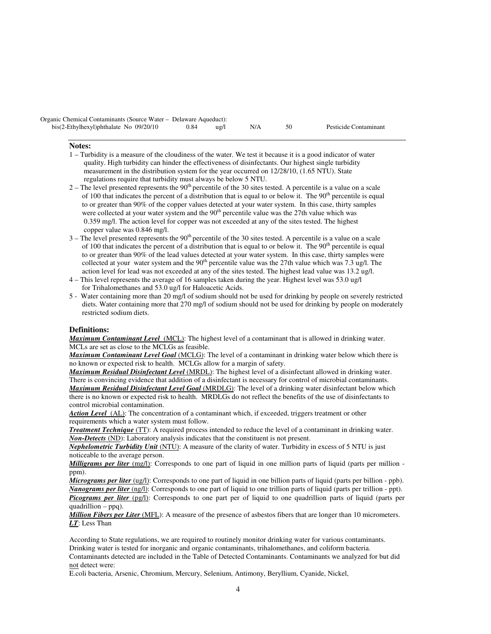| Organic Chemical Contaminants (Source Water - Delaware Aqueduct): |      |                       |     |  |                       |  |  |  |  |  |
|-------------------------------------------------------------------|------|-----------------------|-----|--|-----------------------|--|--|--|--|--|
| bis(2-Ethylhexyl)phthalate No 09/20/10                            | 0.84 | $\frac{u \cdot g}{1}$ | N/A |  | Pesticide Contaminant |  |  |  |  |  |

### **Notes:**

- 1 Turbidity is a measure of the cloudiness of the water. We test it because it is a good indicator of water quality. High turbidity can hinder the effectiveness of disinfectants. Our highest single turbidity measurement in the distribution system for the year occurred on 12/28/10, (1.65 NTU). State regulations require that turbidity must always be below 5 NTU.
- $2 -$  The level presented represents the 90<sup>th</sup> percentile of the 30 sites tested. A percentile is a value on a scale of 100 that indicates the percent of a distribution that is equal to or below it. The  $90<sup>th</sup>$  percentile is equal to or greater than 90% of the copper values detected at your water system. In this case, thirty samples were collected at your water system and the  $90<sup>th</sup>$  percentile value was the 27th value which was 0.359 mg/l. The action level for copper was not exceeded at any of the sites tested. The highest copper value was 0.846 mg/l.
- $3$  The level presented represents the  $90<sup>th</sup>$  percentile of the 30 sites tested. A percentile is a value on a scale of 100 that indicates the percent of a distribution that is equal to or below it. The 90<sup>th</sup> percentile is equal to or greater than 90% of the lead values detected at your water system. In this case, thirty samples were collected at your water system and the 90<sup>th</sup> percentile value was the 27th value which was 7.3 ug/l. The action level for lead was not exceeded at any of the sites tested. The highest lead value was 13.2 ug/l.
- 4 This level represents the average of 16 samples taken during the year. Highest level was 53.0 ug/l for Trihalomethanes and 53.0 ug/l for Haloacetic Acids.
- 5 Water containing more than 20 mg/l of sodium should not be used for drinking by people on severely restricted diets. Water containing more that 270 mg/l of sodium should not be used for drinking by people on moderately restricted sodium diets.

# **Definitions:**

*Maximum Contaminant Level*(MCL): The highest level of a contaminant that is allowed in drinking water. MCLs are set as close to the MCLGs as feasible.

*Maximum Contaminant Level Goal* (MCLG): The level of a contaminant in drinking water below which there is no known or expected risk to health. MCLGs allow for a margin of safety.

*Maximum Residual Disinfectant Level* (MRDL): The highest level of a disinfectant allowed in drinking water. There is convincing evidence that addition of a disinfectant is necessary for control of microbial contaminants. *Maximum Residual Disinfectant Level Goal* (MRDLG): The level of a drinking water disinfectant below which there is no known or expected risk to health. MRDLGs do not reflect the benefits of the use of disinfectants to control microbial contamination.

Action Level (AL): The concentration of a contaminant which, if exceeded, triggers treatment or other requirements which a water system must follow.

*Treatment Technique* (TT): A required process intended to reduce the level of a contaminant in drinking water. *Non-Detects* (ND): Laboratory analysis indicates that the constituent is not present.

*Nephelometric Turbidity Unit* (NTU): A measure of the clarity of water. Turbidity in excess of 5 NTU is just noticeable to the average person.

*Milligrams per liter* (mg/l): Corresponds to one part of liquid in one million parts of liquid (parts per million ppm).

*Micrograms per liter* (ug/l): Corresponds to one part of liquid in one billion parts of liquid (parts per billion - ppb). *Nanograms per liter* (ng/l): Corresponds to one part of liquid to one trillion parts of liquid (parts per trillion - ppt). *Picograms per liter (pg/l)*: Corresponds to one part per of liquid to one quadrillion parts of liquid (parts per quadrillion – ppq).

*Million Fibers per Liter* (MFL): A measure of the presence of asbestos fibers that are longer than 10 micrometers. *LT*: Less Than

According to State regulations, we are required to routinely monitor drinking water for various contaminants. Drinking water is tested for inorganic and organic contaminants, trihalomethanes, and coliform bacteria. Contaminants detected are included in the Table of Detected Contaminants. Contaminants we analyzed for but did not detect were:

E.coli bacteria, Arsenic, Chromium, Mercury, Selenium, Antimony, Beryllium, Cyanide, Nickel,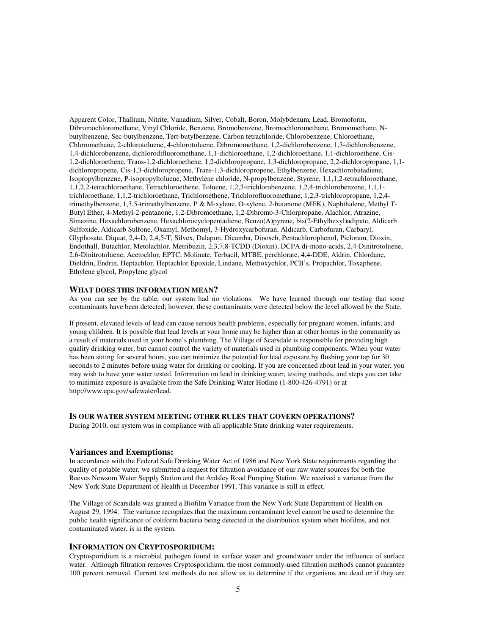Apparent Color, Thallium, Nitrite, Vanadium, Silver, Cobalt, Boron, Molybdenum, Lead, Bromoform, Dibromochloromethane, Vinyl Chloride, Benzene, Bromobenzene, Bromochloromethane, Bromomethane, Nbutylbenzene, Sec-butylbenzene, Tert-butylbenzene, Carbon tetrachloride, Chlorobenzene, Chloroethane, Chloromethane, 2-chlorotoluene, 4-chlorotoluene, Dibromomethane, 1,2-dichlorobenzene, 1,3-dichlorobenzene, 1,4-dichlorobenzene, dichlorodifluoromethane, 1,1-dichloroethane, 1,2-dichloroethane, 1,1-dichloroethene, Cis-1,2-dichloroethene, Trans-1,2-dichloroethene, 1,2-dichloropropane, 1,3-dichloropropane, 2,2-dichloropropane, 1,1 dichloropropene, Cis-1,3-dichloropropene, Trans-1,3-dichloropropene, Ethylbenzene, Hexachlorobutadiene, Isopropylbenzene, P-isopropyltoluene, Methylene chloride, N-propylbenzene, Styrene, 1,1,1,2-tetrachloroethane, 1,1,2,2-tetrachloroethane, Tetrachloroethene, Toluene, 1,2,3-trichlorobenzene, 1,2,4-trichlorobenzene, 1,1,1 trichloroethane, 1,1,2-trichloroethane, Trichloroethene, Trichlorofluoromethane, 1,2,3-trichloropropane, 1,2,4 trimethylbenzene, 1,3,5-trimethylbenzene, P & M-xylene, O-xylene, 2-butanone (MEK), Naphthalene, Methyl T-Butyl Ether, 4-Methyl-2-pentanone, 1,2-Dibromoethane, 1,2-Dibromo-3-Chlorpropane, Alachlor, Atrazine, Simazine, Hexachlorobenzene, Hexachlorocyclopentadiene, Benzo(A)pyrene, bis(2-Ethylhexyl)adipate, Aldicarb Sulfoxide, Aldicarb Sulfone, Oxamyl, Methomyl, 3-Hydroxycarbofuran, Aldicarb, Carbofuran, Carbaryl, Glyphosate, Diquat, 2,4-D, 2,4,5-T, Silvex, Dalapon, Dicamba, Dinoseb, Pentachlorophenol, Picloram, Dioxin, Endothall, Butachlor, Metolachlor, Metribuzin, 2,3,7,8-TCDD (Dioxin), DCPA di-mono-acids, 2,4-Dinitrotoluene, 2,6-Dinitrotoluene, Acetochlor, EPTC, Molinate, Terbacil, MTBE, perchlorate, 4,4-DDE, Aldrin, Chlordane, Dieldrin, Endrin, Heptachlor, Heptachlor Epoxide, Lindane, Methoxychlor, PCB's, Propachlor, Toxaphene, Ethylene glycol, Propylene glycol

# **WHAT DOES THIS INFORMATION MEAN?**

As you can see by the table, our system had no violations. We have learned through our testing that some contaminants have been detected; however, these contaminants were detected below the level allowed by the State.

If present, elevated levels of lead can cause serious health problems, especially for pregnant women, infants, and young children. It is possible that lead levels at your home may be higher than at other homes in the community as a result of materials used in your home's plumbing. The Village of Scarsdale is responsible for providing high quality drinking water, but cannot control the variety of materials used in plumbing components. When your water has been sitting for several hours, you can minimize the potential for lead exposure by flushing your tap for 30 seconds to 2 minutes before using water for drinking or cooking. If you are concerned about lead in your water, you may wish to have your water tested. Information on lead in drinking water, testing methods, and steps you can take to minimize exposure is available from the Safe Drinking Water Hotline (1-800-426-4791) or at http://www.epa.gov/safewater/lead.

## **IS OUR WATER SYSTEM MEETING OTHER RULES THAT GOVERN OPERATIONS?**

During 2010, our system was in compliance with all applicable State drinking water requirements.

#### **Variances and Exemptions:**

In accordance with the Federal Safe Drinking Water Act of 1986 and New York State requirements regarding the quality of potable water, we submitted a request for filtration avoidance of our raw water sources for both the Reeves Newsom Water Supply Station and the Ardsley Road Pumping Station. We received a variance from the New York State Department of Health in December 1991. This variance is still in effect.

The Village of Scarsdale was granted a Biofilm Variance from the New York State Department of Health on August 29, 1994. The variance recognizes that the maximum contaminant level cannot be used to determine the public health significance of coliform bacteria being detected in the distribution system when biofilms, and not contaminated water, is in the system.

### **INFORMATION ON CRYPTOSPORIDIUM:**

Cryptosporidium is a microbial pathogen found in surface water and groundwater under the influence of surface water. Although filtration removes Cryptosporidium, the most commonly-used filtration methods cannot guarantee 100 percent removal. Current test methods do not allow us to determine if the organisms are dead or if they are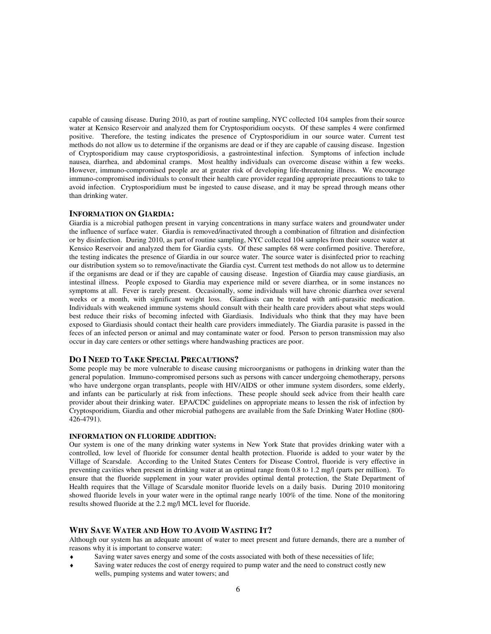capable of causing disease. During 2010, as part of routine sampling, NYC collected 104 samples from their source water at Kensico Reservoir and analyzed them for Cryptosporidium oocysts. Of these samples 4 were confirmed positive. Therefore, the testing indicates the presence of Cryptosporidium in our source water. Current test methods do not allow us to determine if the organisms are dead or if they are capable of causing disease. Ingestion of Cryptosporidium may cause cryptosporidiosis, a gastrointestinal infection. Symptoms of infection include nausea, diarrhea, and abdominal cramps. Most healthy individuals can overcome disease within a few weeks. However, immuno-compromised people are at greater risk of developing life-threatening illness. We encourage immuno-compromised individuals to consult their health care provider regarding appropriate precautions to take to avoid infection. Cryptosporidium must be ingested to cause disease, and it may be spread through means other than drinking water.

### **INFORMATION ON GIARDIA:**

Giardia is a microbial pathogen present in varying concentrations in many surface waters and groundwater under the influence of surface water. Giardia is removed/inactivated through a combination of filtration and disinfection or by disinfection. During 2010, as part of routine sampling, NYC collected 104 samples from their source water at Kensico Reservoir and analyzed them for Giardia cysts. Of these samples 68 were confirmed positive. Therefore, the testing indicates the presence of Giardia in our source water. The source water is disinfected prior to reaching our distribution system so to remove/inactivate the Giardia cyst. Current test methods do not allow us to determine if the organisms are dead or if they are capable of causing disease. Ingestion of Giardia may cause giardiasis, an intestinal illness. People exposed to Giardia may experience mild or severe diarrhea, or in some instances no symptoms at all. Fever is rarely present. Occasionally, some individuals will have chronic diarrhea over several weeks or a month, with significant weight loss. Giardiasis can be treated with anti-parasitic medication. Individuals with weakened immune systems should consult with their health care providers about what steps would best reduce their risks of becoming infected with Giardiasis. Individuals who think that they may have been exposed to Giardiasis should contact their health care providers immediately. The Giardia parasite is passed in the feces of an infected person or animal and may contaminate water or food. Person to person transmission may also occur in day care centers or other settings where handwashing practices are poor.

## **DO I NEED TO TAKE SPECIAL PRECAUTIONS?**

Some people may be more vulnerable to disease causing microorganisms or pathogens in drinking water than the general population. Immuno-compromised persons such as persons with cancer undergoing chemotherapy, persons who have undergone organ transplants, people with HIV/AIDS or other immune system disorders, some elderly, and infants can be particularly at risk from infections. These people should seek advice from their health care provider about their drinking water. EPA/CDC guidelines on appropriate means to lessen the risk of infection by Cryptosporidium, Giardia and other microbial pathogens are available from the Safe Drinking Water Hotline (800-  $426 - 4791$ ).

# **INFORMATION ON FLUORIDE ADDITION:**

Our system is one of the many drinking water systems in New York State that provides drinking water with a controlled, low level of fluoride for consumer dental health protection. Fluoride is added to your water by the Village of Scarsdale. According to the United States Centers for Disease Control, fluoride is very effective in preventing cavities when present in drinking water at an optimal range from 0.8 to 1.2 mg/l (parts per million). To ensure that the fluoride supplement in your water provides optimal dental protection, the State Department of Health requires that the Village of Scarsdale monitor fluoride levels on a daily basis. During 2010 monitoring showed fluoride levels in your water were in the optimal range nearly 100% of the time. None of the monitoring results showed fluoride at the 2.2 mg/l MCL level for fluoride.

## **WHY SAVE WATER AND HOW TO AVOID WASTING IT?**

Although our system has an adequate amount of water to meet present and future demands, there are a number of reasons why it is important to conserve water:

- Saving water saves energy and some of the costs associated with both of these necessities of life;
- Saving water reduces the cost of energy required to pump water and the need to construct costly new wells, pumping systems and water towers; and